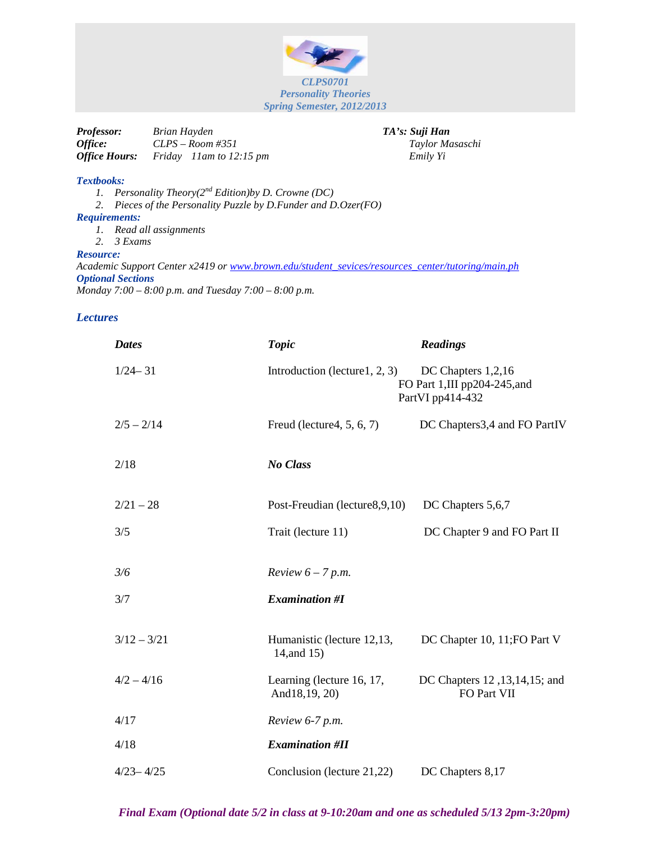

| <i>Professor:</i>           | Brian Hayden            | TA's: Suji Han  |
|-----------------------------|-------------------------|-----------------|
| Office:                     | $CLPS - Room \#351$     | Taylor Masaschi |
| <i><b>Office Hours:</b></i> | Friday 11am to 12:15 pm | Emily Yi        |

## *Textbooks:*

*1. Personality Theory(2nd Edition)by D. Crowne (DC)*

*2. Pieces of the Personality Puzzle by D.Funder and D.Ozer(FO)*

## *Requirements:*

*1. Read all assignments*

*2. 3 Exams*

## *Resource:*

*Academic Support Center x2419 or [www.brown.edu/student\\_sevices/resources\\_center/tutoring/main.ph](http://www.brown.edu/student_sevices/resources_center/tutoring/main.ph) Optional Sections Monday 7:00 – 8:00 p.m. and Tuesday 7:00 – 8:00 p.m.*

## *Lectures*

| <b>Dates</b>  | <b>Topic</b>                               | <b>Readings</b>                                                       |
|---------------|--------------------------------------------|-----------------------------------------------------------------------|
| $1/24 - 31$   | Introduction (lecture 1, 2, 3)             | DC Chapters 1,2,16<br>FO Part 1,III pp204-245,and<br>PartVI pp414-432 |
| $2/5 - 2/14$  | Freud (lecture 4, 5, 6, 7)                 | DC Chapters 3,4 and FO PartIV                                         |
| 2/18          | No Class                                   |                                                                       |
| $2/21 - 28$   | Post-Freudian (lecture 8, 9, 10)           | DC Chapters 5,6,7                                                     |
| 3/5           | Trait (lecture 11)                         | DC Chapter 9 and FO Part II                                           |
| 3/6           | Review $6-7$ p.m.                          |                                                                       |
| 3/7           | <b>Examination #I</b>                      |                                                                       |
| $3/12 - 3/21$ | Humanistic (lecture 12,13,<br>14, and 15)  | DC Chapter 10, 11; FO Part V                                          |
| $4/2 - 4/16$  | Learning (lecture 16, 17,<br>And18,19, 20) | DC Chapters 12, 13, 14, 15; and<br>FO Part VII                        |
| 4/17          | Review 6-7 p.m.                            |                                                                       |
| 4/18          | <b>Examination #II</b>                     |                                                                       |
| $4/23 - 4/25$ | Conclusion (lecture 21,22)                 | DC Chapters 8,17                                                      |

*Final Exam (Optional date 5/2 in class at 9-10:20am and one as scheduled 5/13 2pm-3:20pm)*